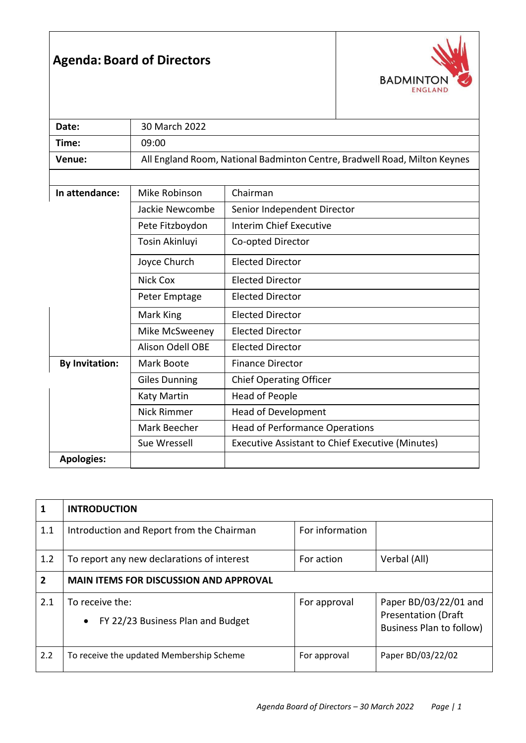## **Agenda: Board of Directors**



| Date:                 | 30 March 2022                                                             |                                                         |  |  |  |
|-----------------------|---------------------------------------------------------------------------|---------------------------------------------------------|--|--|--|
| Time:                 | 09:00                                                                     |                                                         |  |  |  |
| Venue:                | All England Room, National Badminton Centre, Bradwell Road, Milton Keynes |                                                         |  |  |  |
|                       |                                                                           |                                                         |  |  |  |
| In attendance:        | Mike Robinson<br>Chairman                                                 |                                                         |  |  |  |
|                       | Jackie Newcombe                                                           | Senior Independent Director                             |  |  |  |
|                       | Pete Fitzboydon                                                           | <b>Interim Chief Executive</b>                          |  |  |  |
|                       | Tosin Akinluyi                                                            | Co-opted Director                                       |  |  |  |
|                       | Joyce Church                                                              | <b>Elected Director</b>                                 |  |  |  |
|                       | <b>Nick Cox</b>                                                           | <b>Elected Director</b>                                 |  |  |  |
|                       | Peter Emptage                                                             | Elected Director                                        |  |  |  |
| Mark King             |                                                                           | Elected Director                                        |  |  |  |
|                       | Mike McSweeney                                                            | <b>Elected Director</b>                                 |  |  |  |
|                       | <b>Alison Odell OBE</b>                                                   | <b>Elected Director</b>                                 |  |  |  |
| <b>By Invitation:</b> | Mark Boote                                                                | <b>Finance Director</b>                                 |  |  |  |
|                       | <b>Giles Dunning</b>                                                      | <b>Chief Operating Officer</b>                          |  |  |  |
|                       | <b>Katy Martin</b>                                                        | <b>Head of People</b>                                   |  |  |  |
|                       | Nick Rimmer                                                               | Head of Development                                     |  |  |  |
|                       | Mark Beecher                                                              | <b>Head of Performance Operations</b>                   |  |  |  |
|                       | Sue Wressell                                                              | <b>Executive Assistant to Chief Executive (Minutes)</b> |  |  |  |
| <b>Apologies:</b>     |                                                                           |                                                         |  |  |  |

| $\mathbf{1}$   | <b>INTRODUCTION</b>                                               |                 |                                                                                 |  |
|----------------|-------------------------------------------------------------------|-----------------|---------------------------------------------------------------------------------|--|
| 1.1            | Introduction and Report from the Chairman                         | For information |                                                                                 |  |
| 1.2            | To report any new declarations of interest                        | For action      | Verbal (All)                                                                    |  |
| $\overline{2}$ | <b>MAIN ITEMS FOR DISCUSSION AND APPROVAL</b>                     |                 |                                                                                 |  |
| 2.1            | To receive the:<br>FY 22/23 Business Plan and Budget<br>$\bullet$ | For approval    | Paper BD/03/22/01 and<br><b>Presentation (Draft</b><br>Business Plan to follow) |  |
| 2.2            | To receive the updated Membership Scheme                          | For approval    | Paper BD/03/22/02                                                               |  |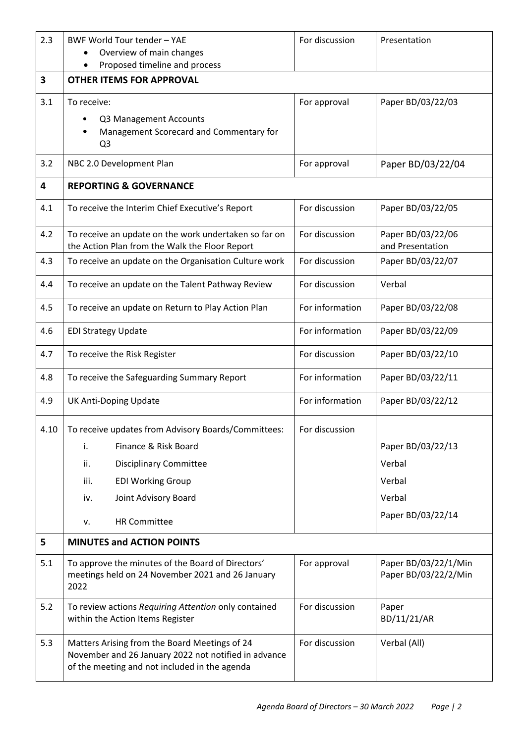| 2.3  | <b>BWF World Tour tender - YAE</b>                                                                                                                     | For discussion  | Presentation                          |  |  |  |
|------|--------------------------------------------------------------------------------------------------------------------------------------------------------|-----------------|---------------------------------------|--|--|--|
|      | Overview of main changes                                                                                                                               |                 |                                       |  |  |  |
| 3    | Proposed timeline and process<br><b>OTHER ITEMS FOR APPROVAL</b>                                                                                       |                 |                                       |  |  |  |
|      |                                                                                                                                                        |                 |                                       |  |  |  |
| 3.1  | To receive:                                                                                                                                            | For approval    | Paper BD/03/22/03                     |  |  |  |
|      | Q3 Management Accounts<br>Management Scorecard and Commentary for                                                                                      |                 |                                       |  |  |  |
|      | Q <sub>3</sub>                                                                                                                                         |                 |                                       |  |  |  |
| 3.2  | NBC 2.0 Development Plan                                                                                                                               | For approval    | Paper BD/03/22/04                     |  |  |  |
| 4    | <b>REPORTING &amp; GOVERNANCE</b>                                                                                                                      |                 |                                       |  |  |  |
| 4.1  | To receive the Interim Chief Executive's Report                                                                                                        | For discussion  | Paper BD/03/22/05                     |  |  |  |
| 4.2  | To receive an update on the work undertaken so far on<br>the Action Plan from the Walk the Floor Report                                                | For discussion  | Paper BD/03/22/06<br>and Presentation |  |  |  |
| 4.3  | To receive an update on the Organisation Culture work                                                                                                  | For discussion  | Paper BD/03/22/07                     |  |  |  |
| 4.4  | To receive an update on the Talent Pathway Review                                                                                                      | For discussion  | Verbal                                |  |  |  |
| 4.5  | To receive an update on Return to Play Action Plan                                                                                                     | For information | Paper BD/03/22/08                     |  |  |  |
| 4.6  | <b>EDI Strategy Update</b>                                                                                                                             | For information | Paper BD/03/22/09                     |  |  |  |
| 4.7  | To receive the Risk Register                                                                                                                           | For discussion  | Paper BD/03/22/10                     |  |  |  |
| 4.8  | To receive the Safeguarding Summary Report                                                                                                             | For information | Paper BD/03/22/11                     |  |  |  |
| 4.9  | <b>UK Anti-Doping Update</b>                                                                                                                           | For information | Paper BD/03/22/12                     |  |  |  |
| 4.10 | To receive updates from Advisory Boards/Committees:                                                                                                    | For discussion  |                                       |  |  |  |
|      | Finance & Risk Board<br>i.                                                                                                                             |                 | Paper BD/03/22/13                     |  |  |  |
|      | ii.<br><b>Disciplinary Committee</b>                                                                                                                   |                 | Verbal                                |  |  |  |
|      | <b>EDI Working Group</b><br>iii.                                                                                                                       |                 | Verbal                                |  |  |  |
|      | Joint Advisory Board<br>iv.                                                                                                                            |                 | Verbal                                |  |  |  |
|      | <b>HR Committee</b><br>ν.                                                                                                                              |                 | Paper BD/03/22/14                     |  |  |  |
| 5    | <b>MINUTES and ACTION POINTS</b>                                                                                                                       |                 |                                       |  |  |  |
| 5.1  | To approve the minutes of the Board of Directors'                                                                                                      | For approval    | Paper BD/03/22/1/Min                  |  |  |  |
|      | meetings held on 24 November 2021 and 26 January<br>2022                                                                                               |                 | Paper BD/03/22/2/Min                  |  |  |  |
| 5.2  | To review actions Requiring Attention only contained<br>within the Action Items Register                                                               | For discussion  | Paper<br>BD/11/21/AR                  |  |  |  |
| 5.3  | Matters Arising from the Board Meetings of 24<br>November and 26 January 2022 not notified in advance<br>of the meeting and not included in the agenda | For discussion  | Verbal (All)                          |  |  |  |